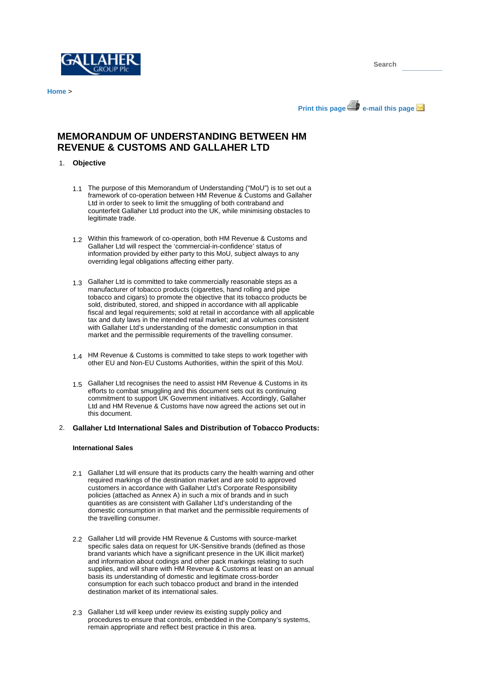

**Home** >





# **MEMORANDUM OF UNDERSTANDING BETWEEN HM REVENUE & CUSTOMS AND GALLAHER LTD**

## 1. **Objective**

- 1.1 The purpose of this Memorandum of Understanding ("MoU") is to set out a framework of co-operation between HM Revenue & Customs and Gallaher Ltd in order to seek to limit the smuggling of both contraband and counterfeit Gallaher Ltd product into the UK, while minimising obstacles to legitimate trade.
- Within this framework of co-operation, both HM Revenue & Customs and 1.2 Gallaher Ltd will respect the 'commercial-in-confidence' status of information provided by either party to this MoU, subject always to any overriding legal obligations affecting either party.
- Gallaher Ltd is committed to take commercially reasonable steps as a 1.3 manufacturer of tobacco products (cigarettes, hand rolling and pipe tobacco and cigars) to promote the objective that its tobacco products be sold, distributed, stored, and shipped in accordance with all applicable fiscal and legal requirements; sold at retail in accordance with all applicable tax and duty laws in the intended retail market; and at volumes consistent with Gallaher Ltd's understanding of the domestic consumption in that market and the permissible requirements of the travelling consumer.
- HM Revenue & Customs is committed to take steps to work together with 1.4 other EU and Non-EU Customs Authorities, within the spirit of this MoU.
- Gallaher Ltd recognises the need to assist HM Revenue & Customs in its 1.5 efforts to combat smuggling and this document sets out its continuing commitment to support UK Government initiatives. Accordingly, Gallaher Ltd and HM Revenue & Customs have now agreed the actions set out in this document.

# 2. **Gallaher Ltd International Sales and Distribution of Tobacco Products:**

## **International Sales**

- Gallaher Ltd will ensure that its products carry the health warning and other 2.1 required markings of the destination market and are sold to approved customers in accordance with Gallaher Ltd's Corporate Responsibility policies (attached as Annex A) in such a mix of brands and in such quantities as are consistent with Gallaher Ltd's understanding of the domestic consumption in that market and the permissible requirements of the travelling consumer.
- 2.2 Gallaher Ltd will provide HM Revenue & Customs with source-market specific sales data on request for UK-Sensitive brands (defined as those brand variants which have a significant presence in the UK illicit market) and information about codings and other pack markings relating to such supplies, and will share with HM Revenue & Customs at least on an annual basis its understanding of domestic and legitimate cross-border consumption for each such tobacco product and brand in the intended destination market of its international sales.
- 2.3 Gallaher Ltd will keep under review its existing supply policy and procedures to ensure that controls, embedded in the Company's systems, remain appropriate and reflect best practice in this area.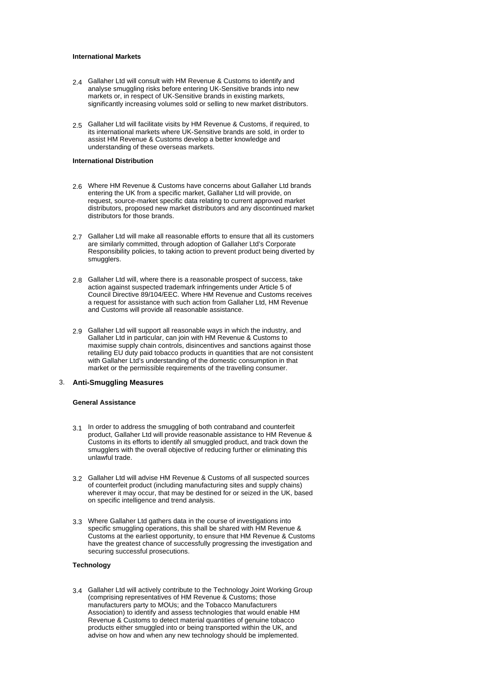#### **International Markets**

- Gallaher Ltd will consult with HM Revenue & Customs to identify and 2.4 analyse smuggling risks before entering UK-Sensitive brands into new markets or, in respect of UK-Sensitive brands in existing markets, significantly increasing volumes sold or selling to new market distributors.
- Gallaher Ltd will facilitate visits by HM Revenue & Customs, if required, to its international markets where UK-Sensitive brands are sold, in order to assist HM Revenue & Customs develop a better knowledge and understanding of these overseas markets. 2.5

## **International Distribution**

- Where HM Revenue & Customs have concerns about Gallaher Ltd brands 2.6 entering the UK from a specific market, Gallaher Ltd will provide, on request, source-market specific data relating to current approved market distributors, proposed new market distributors and any discontinued market distributors for those brands.
- Gallaher Ltd will make all reasonable efforts to ensure that all its customers 2.7 are similarly committed, through adoption of Gallaher Ltd's Corporate Responsibility policies, to taking action to prevent product being diverted by smugglers.
- Gallaher Ltd will, where there is a reasonable prospect of success, take 2.8 action against suspected trademark infringements under Article 5 of Council Directive 89/104/EEC. Where HM Revenue and Customs receives a request for assistance with such action from Gallaher Ltd, HM Revenue and Customs will provide all reasonable assistance.
- Gallaher Ltd will support all reasonable ways in which the industry, and 2.9 Gallaher Ltd in particular, can join with HM Revenue & Customs to maximise supply chain controls, disincentives and sanctions against those retailing EU duty paid tobacco products in quantities that are not consistent with Gallaher Ltd's understanding of the domestic consumption in that market or the permissible requirements of the travelling consumer.

## 3. **Anti-Smuggling Measures**

## **General Assistance**

- 3.1 In order to address the smuggling of both contraband and counterfeit product, Gallaher Ltd will provide reasonable assistance to HM Revenue & Customs in its efforts to identify all smuggled product, and track down the smugglers with the overall objective of reducing further or eliminating this unlawful trade.
- Gallaher Ltd will advise HM Revenue & Customs of all suspected sources 3.2 of counterfeit product (including manufacturing sites and supply chains) wherever it may occur, that may be destined for or seized in the UK, based on specific intelligence and trend analysis.
- Where Gallaher Ltd gathers data in the course of investigations into 3.3 specific smuggling operations, this shall be shared with HM Revenue & Customs at the earliest opportunity, to ensure that HM Revenue & Customs have the greatest chance of successfully progressing the investigation and securing successful prosecutions.

#### **Technology**

Gallaher Ltd will actively contribute to the Technology Joint Working Group 3.4(comprising representatives of HM Revenue & Customs; those manufacturers party to MOUs; and the Tobacco Manufacturers Association) to identify and assess technologies that would enable HM Revenue & Customs to detect material quantities of genuine tobacco products either smuggled into or being transported within the UK, and advise on how and when any new technology should be implemented.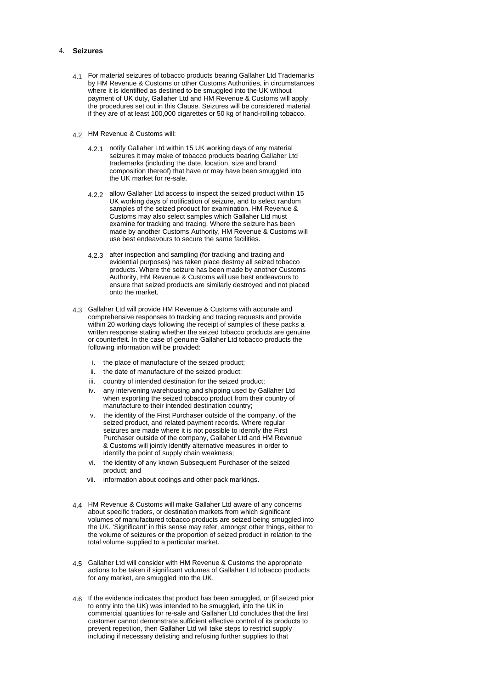## 4. **Seizures**

- For material seizures of tobacco products bearing Gallaher Ltd Trademarks 4.1 by HM Revenue & Customs or other Customs Authorities, in circumstances where it is identified as destined to be smuggled into the UK without payment of UK duty, Gallaher Ltd and HM Revenue & Customs will apply the procedures set out in this Clause. Seizures will be considered material if they are of at least 100,000 cigarettes or 50 kg of hand-rolling tobacco.
- 4.2 HM Revenue & Customs will:
	- 4.2.1 notify Gallaher Ltd within 15 UK working days of any material seizures it may make of tobacco products bearing Gallaher Ltd trademarks (including the date, location, size and brand composition thereof) that have or may have been smuggled into the UK market for re-sale.
	- 4.2.2 allow Gallaher Ltd access to inspect the seized product within 15 UK working days of notification of seizure, and to select random samples of the seized product for examination. HM Revenue & Customs may also select samples which Gallaher Ltd must examine for tracking and tracing. Where the seizure has been made by another Customs Authority, HM Revenue & Customs will use best endeavours to secure the same facilities.
	- 4.2.3 after inspection and sampling (for tracking and tracing and evidential purposes) has taken place destroy all seized tobacco products. Where the seizure has been made by another Customs Authority, HM Revenue & Customs will use best endeavours to ensure that seized products are similarly destroyed and not placed onto the market.
- Gallaher Ltd will provide HM Revenue & Customs with accurate and 4.3 comprehensive responses to tracking and tracing requests and provide within 20 working days following the receipt of samples of these packs a written response stating whether the seized tobacco products are genuine or counterfeit. In the case of genuine Gallaher Ltd tobacco products the following information will be provided:
	- i. the place of manufacture of the seized product;
	- ii. the date of manufacture of the seized product;
	- iii. country of intended destination for the seized product;
	- iv. any intervening warehousing and shipping used by Gallaher Ltd when exporting the seized tobacco product from their country of manufacture to their intended destination country;
	- the identity of the First Purchaser outside of the company, of the seized product, and related payment records. Where regular seizures are made where it is not possible to identify the First Purchaser outside of the company, Gallaher Ltd and HM Revenue & Customs will jointly identify alternative measures in order to identify the point of supply chain weakness;
	- vi. the identity of any known Subsequent Purchaser of the seized product; and
	- vii. information about codings and other pack markings.
- HM Revenue & Customs will make Gallaher Ltd aware of any concerns 4.4 about specific traders, or destination markets from which significant volumes of manufactured tobacco products are seized being smuggled into the UK. 'Significant' in this sense may refer, amongst other things, either to the volume of seizures or the proportion of seized product in relation to the total volume supplied to a particular market.
- Gallaher Ltd will consider with HM Revenue & Customs the appropriate 4.5 actions to be taken if significant volumes of Gallaher Ltd tobacco products for any market, are smuggled into the UK.
- 4.6 If the evidence indicates that product has been smuggled, or (if seized prior to entry into the UK) was intended to be smuggled, into the UK in commercial quantities for re-sale and Gallaher Ltd concludes that the first customer cannot demonstrate sufficient effective control of its products to prevent repetition, then Gallaher Ltd will take steps to restrict supply including if necessary delisting and refusing further supplies to that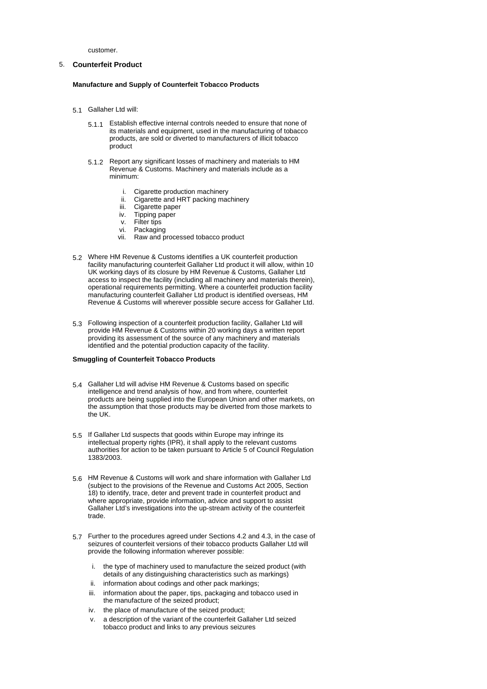customer.

## 5. **Counterfeit Product**

## **Manufacture and Supply of Counterfeit Tobacco Products**

- 5.1 Gallaher Ltd will:
	- 5.1.1 Establish effective internal controls needed to ensure that none of its materials and equipment, used in the manufacturing of tobacco products, are sold or diverted to manufacturers of illicit tobacco product
	- 5.1.2 Report any significant losses of machinery and materials to HM Revenue & Customs. Machinery and materials include as a minimum:
		- i. Cigarette production machinery
		- ii. Cigarette and HRT packing machinery
		- iii. Cigarette paper<br>iv. Tipping paper
		- Tipping paper
		- v. Filter tips
		- vi. Packaging
		- vii. Raw and processed tobacco product
- Where HM Revenue & Customs identifies a UK counterfeit production 5.2 facility manufacturing counterfeit Gallaher Ltd product it will allow, within 10 UK working days of its closure by HM Revenue & Customs, Gallaher Ltd access to inspect the facility (including all machinery and materials therein), operational requirements permitting. Where a counterfeit production facility manufacturing counterfeit Gallaher Ltd product is identified overseas. HM Revenue & Customs will wherever possible secure access for Gallaher Ltd.
- Following inspection of a counterfeit production facility, Gallaher Ltd will 5.3 provide HM Revenue & Customs within 20 working days a written report providing its assessment of the source of any machinery and materials identified and the potential production capacity of the facility.

#### **Smuggling of Counterfeit Tobacco Products**

- Gallaher Ltd will advise HM Revenue & Customs based on specific 5.4 intelligence and trend analysis of how, and from where, counterfeit products are being supplied into the European Union and other markets, on the assumption that those products may be diverted from those markets to the UK.
- 5.5 If Gallaher Ltd suspects that goods within Europe may infringe its intellectual property rights (IPR), it shall apply to the relevant customs authorities for action to be taken pursuant to Article 5 of Council Regulation 1383/2003.
- HM Revenue & Customs will work and share information with Gallaher Ltd 5.6 (subject to the provisions of the Revenue and Customs Act 2005, Section 18) to identify, trace, deter and prevent trade in counterfeit product and where appropriate, provide information, advice and support to assist Gallaher Ltd's investigations into the up-stream activity of the counterfeit trade.
- Further to the procedures agreed under Sections 4.2 and 4.3, in the case of 5.7 seizures of counterfeit versions of their tobacco products Gallaher Ltd will provide the following information wherever possible:
	- i. the type of machinery used to manufacture the seized product (with details of any distinguishing characteristics such as markings)
	- ii. information about codings and other pack markings;
	- iii. information about the paper, tips, packaging and tobacco used in the manufacture of the seized product;
	- iv. the place of manufacture of the seized product;
	- v. a description of the variant of the counterfeit Gallaher Ltd seized tobacco product and links to any previous seizures